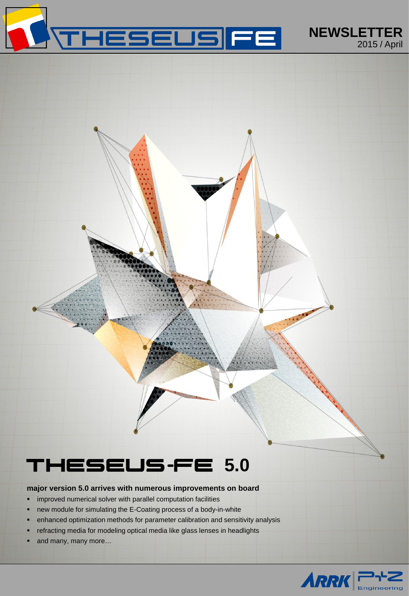

# THESEUS-FE **5.0**

## **major version 5.0 arrives with numerous improvements on board**

- **·** improved numerical solver with parallel computation facilities
- new module for simulating the E-Coating process of a body-in-white
- **EXTENDED FOR THE PROTH IN ADAM** enhanced optimization and sensitivity analysis
- refracting media for modeling optical media like glass lenses in headlights
- and many, many more…

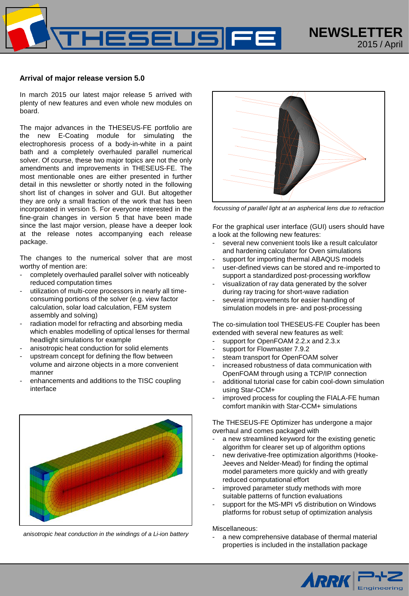

#### **Arrival of major release version 5.0**

In march 2015 our latest major release 5 arrived with plenty of new features and even whole new modules on board.

The major advances in the THESEUS-FE portfolio are the new E-Coating module for simulating the electrophoresis process of a body-in-white in a paint bath and a completely overhauled parallel numerical solver. Of course, these two major topics are not the only amendments and improvements in THESEUS-FE. The most mentionable ones are either presented in further detail in this newsletter or shortly noted in the following short list of changes in solver and GUI. But altogether they are only a small fraction of the work that has been incorporated in version 5. For everyone interested in the fine-grain changes in version 5 that have been made since the last major version, please have a deeper look at the release notes accompanying each release package.

The changes to the numerical solver that are most worthy of mention are:

- completely overhauled parallel solver with noticeably reduced computation times
- utilization of multi-core processors in nearly all timeconsuming portions of the solver (e.g. view factor calculation, solar load calculation, FEM system assembly and solving)
- radiation model for refracting and absorbing media which enables modelling of optical lenses for thermal headlight simulations for example
- anisotropic heat conduction for solid elements
- upstream concept for defining the flow between volume and airzone objects in a more convenient manner
- enhancements and additions to the TISC coupling interface



*anisotropic heat conduction in the windings of a Li-ion battery*



*focussing of parallel light at an aspherical lens due to refraction*

For the graphical user interface (GUI) users should have a look at the following new features:

- several new convenient tools like a result calculator and hardening calculator for Oven simulations
- support for importing thermal ABAQUS models
- user-defined views can be stored and re-imported to support a standardized post-processing workflow
- visualization of ray data generated by the solver during ray tracing for short-wave radiation
- several improvements for easier handling of simulation models in pre- and post-processing

The co-simulation tool THESEUS-FE Coupler has been extended with several new features as well:

- support for OpenFOAM 2.2.x and 2.3.x
- support for Flowmaster 7.9.2
- steam transport for OpenFOAM solver
- increased robustness of data communication with OpenFOAM through using a TCP/IP connection
- additional tutorial case for cabin cool-down simulation using Star-CCM+
- improved process for coupling the FIALA-FE human comfort manikin with Star-CCM+ simulations

The THESEUS-FE Optimizer has undergone a major overhaul and comes packaged with

- a new streamlined keyword for the existing genetic algorithm for clearer set up of algorithm options
- new derivative-free optimization algorithms (Hooke-Jeeves and Nelder-Mead) for finding the optimal model parameters more quickly and with greatly reduced computational effort
- improved parameter study methods with more suitable patterns of function evaluations
- support for the MS-MPI v5 distribution on Windows platforms for robust setup of optimization analysis

Miscellaneous:

a new comprehensive database of thermal material properties is included in the installation package

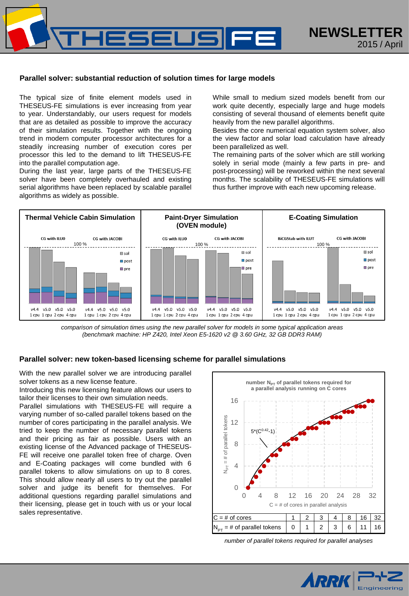

## **Parallel solver: substantial reduction of solution times for large models**

The typical size of finite element models used in THESEUS-FE simulations is ever increasing from year to year. Understandably, our users request for models that are as detailed as possible to improve the accuracy of their simulation results. Together with the ongoing trend in modern computer processor architectures for a steadily increasing number of execution cores per processor this led to the demand to lift THESEUS-FE into the parallel computation age.

During the last year, large parts of the THESEUS-FE solver have been completely overhauled and existing serial algorithms have been replaced by scalable parallel algorithms as widely as possible.

While small to medium sized models benefit from our work quite decently, especially large and huge models consisting of several thousand of elements benefit quite heavily from the new parallel algorithms.

Besides the core numerical equation system solver, also the view factor and solar load calculation have already been parallelized as well.

The remaining parts of the solver which are still working solely in serial mode (mainly a few parts in pre- and post-processing) will be reworked within the next several months. The scalability of THESEUS-FE simulations will thus further improve with each new upcoming release.



*comparison of simulation times using the new parallel solver for models in some typical application areas (benchmark machine: HP Z420, Intel Xeon E5-1620 v2 @ 3.60 GHz, 32 GB DDR3 RAM)*

#### **Parallel solver: new token-based licensing scheme for parallel simulations**

With the new parallel solver we are introducing parallel solver tokens as a new license feature.

Introducing this new licensing feature allows our users to tailor their licenses to their own simulation needs.

Parallel simulations with THESEUS-FE will require a varying number of so-called parallel tokens based on the number of cores participating in the parallel analysis. We tried to keep the number of necessary parallel tokens and their pricing as fair as possible. Users with an existing license of the Advanced package of THESEUS-FE will receive one parallel token free of charge. Oven and E-Coating packages will come bundled with 6 parallel tokens to allow simulations on up to 8 cores. This should allow nearly all users to try out the parallel solver and judge its benefit for themselves. For additional questions regarding parallel simulations and their licensing, please get in touch with us or your local sales representative.



*number of parallel tokens required for parallel analyses*

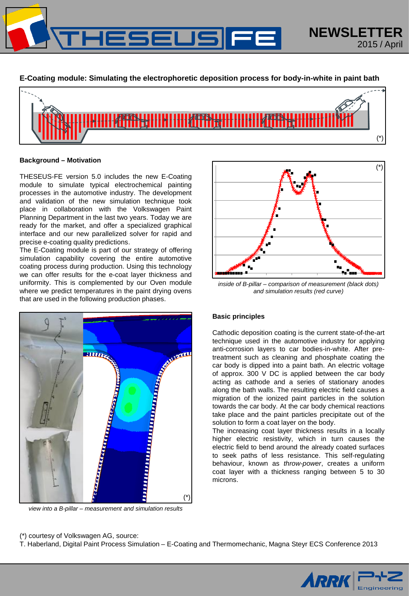

**E-Coating module: Simulating the electrophoretic deposition process for body-in-white in paint bath**



#### **Background – Motivation**

THESEUS-FE version 5.0 includes the new E-Coating module to simulate typical electrochemical painting processes in the automotive industry. The development and validation of the new simulation technique took place in collaboration with the Volkswagen Paint Planning Department in the last two years. Today we are ready for the market, and offer a specialized graphical interface and our new parallelized solver for rapid and precise e-coating quality predictions.

The E-Coating module is part of our strategy of offering simulation capability covering the entire automotive coating process during production. Using this technology we can offer results for the e-coat layer thickness and uniformity. This is complemented by our Oven module where we predict temperatures in the paint drying ovens that are used in the following production phases.



*view into a B-pillar – measurement and simulation results*



*inside of B-pillar – comparison of measurement (black dots) and simulation results (red curve)*

## **Basic principles**

Cathodic deposition coating is the current state-of-the-art technique used in the automotive industry for applying anti-corrosion layers to car bodies-in-white. After pretreatment such as cleaning and phosphate coating the car body is dipped into a paint bath. An electric voltage of approx. 300 V DC is applied between the car body acting as cathode and a series of stationary anodes along the bath walls. The resulting electric field causes a migration of the ionized paint particles in the solution towards the car body. At the car body chemical reactions take place and the paint particles precipitate out of the solution to form a coat layer on the body.

The increasing coat layer thickness results in a locally higher electric resistivity, which in turn causes the electric field to bend around the already coated surfaces to seek paths of less resistance. This self-regulating behaviour, known as *throw-power*, creates a uniform coat layer with a thickness ranging between 5 to 30 microns.

## (\*) courtesy of Volkswagen AG, source:

T. Haberland, Digital Paint Process Simulation – E-Coating and Thermomechanic, Magna Steyr ECS Conference 2013

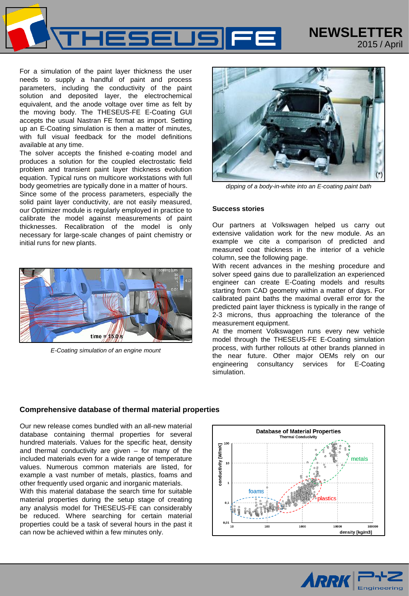

For a simulation of the paint layer thickness the user needs to supply a handful of paint and process parameters, including the conductivity of the paint solution and deposited layer, the electrochemical equivalent, and the anode voltage over time as felt by the moving body. The THESEUS-FE E-Coating GUI accepts the usual Nastran FE format as import. Setting up an E-Coating simulation is then a matter of minutes, with full visual feedback for the model definitions available at any time.

The solver accepts the finished e-coating model and produces a solution for the coupled electrostatic field problem and transient paint layer thickness evolution equation. Typical runs on multicore workstations with full body geometries are typically done in a matter of hours.

Since some of the process parameters, especially the solid paint layer conductivity, are not easily measured, our Optimizer module is regularly employed in practice to calibrate the model against measurements of paint thicknesses. Recalibration of the model is only necessary for large-scale changes of paint chemistry or initial runs for new plants.



*E-Coating simulation of an engine mount*



2015 / April

*dipping of a body-in-white into an E-coating paint bath*

#### **Success stories**

Our partners at Volkswagen helped us carry out extensive validation work for the new module. As an example we cite a comparison of predicted and measured coat thickness in the interior of a vehicle column, see the following page.

With recent advances in the meshing procedure and solver speed gains due to parallelization an experienced engineer can create E-Coating models and results starting from CAD geometry within a matter of days. For calibrated paint baths the maximal overall error for the predicted paint layer thickness is typically in the range of 2-3 microns, thus approaching the tolerance of the measurement equipment.

At the moment Volkswagen runs every new vehicle model through the THESEUS-FE E-Coating simulation process, with further rollouts at other brands planned in the near future. Other major OEMs rely on our engineering consultancy services for E-Coating simulation.

#### **Comprehensive database of thermal material properties**

Our new release comes bundled with an all-new material database containing thermal properties for several hundred materials. Values for the specific heat, density and thermal conductivity are given – for many of the included materials even for a wide range of temperature values. Numerous common materials are listed, for example a vast number of metals, plastics, foams and other frequently used organic and inorganic materials.

With this material database the search time for suitable material properties during the setup stage of creating any analysis model for THESEUS-FE can considerably be reduced. Where searching for certain material properties could be a task of several hours in the past it can now be achieved within a few minutes only.



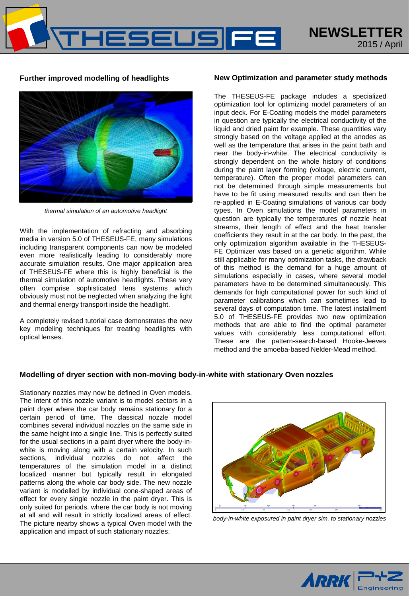HESEUS



*thermal simulation of an automotive headlight*

With the implementation of refracting and absorbing media in version 5.0 of THESEUS-FE, many simulations including transparent components can now be modeled even more realistically leading to considerably more accurate simulation results. One major application area of THESEUS-FE where this is highly beneficial is the thermal simulation of automotive headlights. These very often comprise sophisticated lens systems which obviously must not be neglected when analyzing the light and thermal energy transport inside the headlight.

A completely revised tutorial case demonstrates the new key modeling techniques for treating headlights with optical lenses.

## **Further improved modelling of headlights New Optimization and parameter study methods**

The THESEUS-FE package includes a specialized optimization tool for optimizing model parameters of an input deck. For E-Coating models the model parameters in question are typically the electrical conductivity of the liquid and dried paint for example. These quantities vary strongly based on the voltage applied at the anodes as well as the temperature that arises in the paint bath and near the body-in-white. The electrical conductivity is strongly dependent on the whole history of conditions during the paint layer forming (voltage, electric current, temperature). Often the proper model parameters can not be determined through simple measurements but have to be fit using measured results and can then be re-applied in E-Coating simulations of various car body types. In Oven simulations the model parameters in question are typically the temperatures of nozzle heat streams, their length of effect and the heat transfer coefficients they result in at the car body. In the past, the only optimization algorithm available in the THESEUS-FE Optimizer was based on a genetic algorithm. While still applicable for many optimization tasks, the drawback of this method is the demand for a huge amount of simulations especially in cases, where several model parameters have to be determined simultaneously. This demands for high computational power for such kind of parameter calibrations which can sometimes lead to several days of computation time. The latest installment 5.0 of THESEUS-FE provides two new optimization methods that are able to find the optimal parameter values with considerably less computational effort. These are the pattern-search-based Hooke-Jeeves method and the amoeba-based Nelder-Mead method.

## **Modelling of dryer section with non-moving body-in-white with stationary Oven nozzles**

Stationary nozzles may now be defined in Oven models. The intent of this nozzle variant is to model sectors in a paint dryer where the car body remains stationary for a certain period of time. The classical nozzle model combines several individual nozzles on the same side in the same height into a single line. This is perfectly suited for the usual sections in a paint dryer where the body-inwhite is moving along with a certain velocity. In such sections, individual nozzles do not affect the temperatures of the simulation model in a distinct localized manner but typically result in elongated patterns along the whole car body side. The new nozzle variant is modelled by individual cone-shaped areas of effect for every single nozzle in the paint dryer. This is only suited for periods, where the car body is not moving at all and will result in strictly localized areas of effect. The picture nearby shows a typical Oven model with the application and impact of such stationary nozzles.



*body-in-white exposured in paint dryer sim. to stationary nozzles*